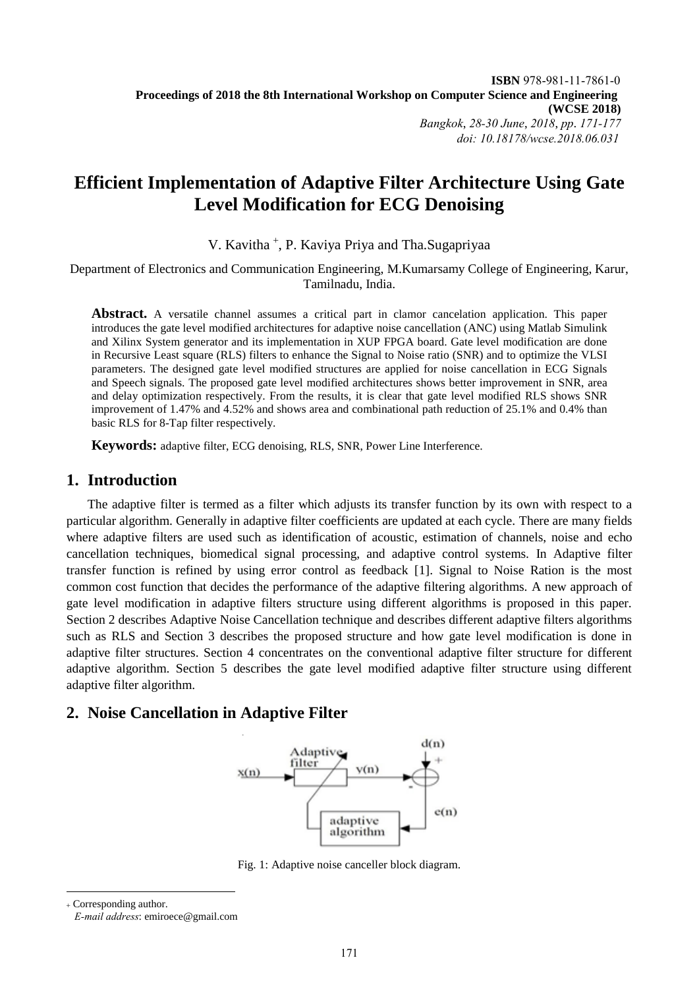# **Efficient Implementation of Adaptive Filter Architecture Using Gate Level Modification for ECG Denoising**

V. Kavitha<sup>+</sup>, P. Kaviya Priya and Tha.Sugapriyaa

Department of Electronics and Communication Engineering, M.Kumarsamy College of Engineering, Karur, Tamilnadu, India.

**Abstract.** A versatile channel assumes a critical part in clamor cancelation application. This paper introduces the gate level modified architectures for adaptive noise cancellation (ANC) using Matlab Simulink and Xilinx System generator and its implementation in XUP FPGA board. Gate level modification are done in Recursive Least square (RLS) filters to enhance the Signal to Noise ratio (SNR) and to optimize the VLSI parameters. The designed gate level modified structures are applied for noise cancellation in ECG Signals and Speech signals. The proposed gate level modified architectures shows better improvement in SNR, area and delay optimization respectively. From the results, it is clear that gate level modified RLS shows SNR improvement of 1.47% and 4.52% and shows area and combinational path reduction of 25.1% and 0.4% than basic RLS for 8-Tap filter respectively.

**Keywords:** adaptive filter, ECG denoising, RLS, SNR, Power Line Interference.

# **1. Introduction**

The adaptive filter is termed as a filter which adjusts its transfer function by its own with respect to a particular algorithm. Generally in adaptive filter coefficients are updated at each cycle. There are many fields where adaptive filters are used such as identification of acoustic, estimation of channels, noise and echo cancellation techniques, biomedical signal processing, and adaptive control systems. In Adaptive filter transfer function is refined by using error control as feedback [1]. Signal to Noise Ration is the most common cost function that decides the performance of the adaptive filtering algorithms. A new approach of gate level modification in adaptive filters structure using different algorithms is proposed in this paper. Section 2 describes Adaptive Noise Cancellation technique and describes different adaptive filters algorithms such as RLS and Section 3 describes the proposed structure and how gate level modification is done in adaptive filter structures. Section 4 concentrates on the conventional adaptive filter structure for different adaptive algorithm. Section 5 describes the gate level modified adaptive filter structure using different adaptive filter algorithm.

# **2. Noise Cancellation in Adaptive Filter**



Fig. 1: Adaptive noise canceller block diagram.

 Corresponding author. *E-mail address*: emiroece@gmail.com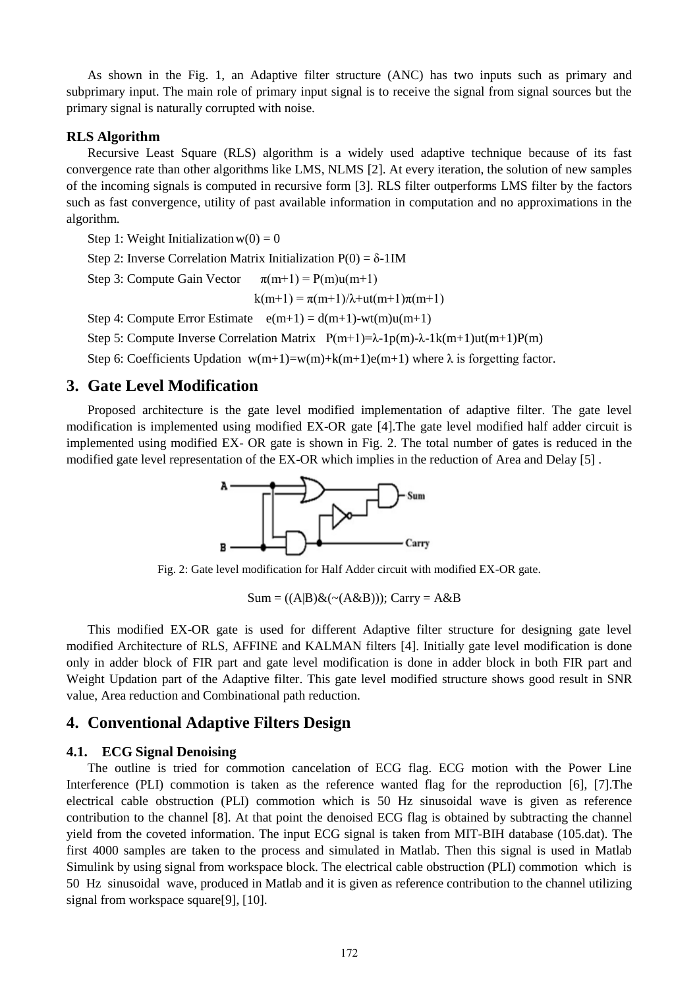As shown in the Fig. 1, an Adaptive filter structure (ANC) has two inputs such as primary and subprimary input. The main role of primary input signal is to receive the signal from signal sources but the primary signal is naturally corrupted with noise.

### **RLS Algorithm**

Recursive Least Square (RLS) algorithm is a widely used adaptive technique because of its fast convergence rate than other algorithms like LMS, NLMS [2]. At every iteration, the solution of new samples of the incoming signals is computed in recursive form [3]. RLS filter outperforms LMS filter by the factors such as fast convergence, utility of past available information in computation and no approximations in the algorithm.

Step 1: Weight Initialization  $w(0) = 0$ 

Step 2: Inverse Correlation Matrix Initialization  $P(0) = δ-1IM$ 

Step 3: Compute Gain Vector  $\pi(m+1) = P(m)u(m+1)$ 

 $k(m+1) = \pi(m+1)/\lambda + ut(m+1)\pi(m+1)$ 

Step 4: Compute Error Estimate  $e(m+1) = d(m+1)-wt(m)u(m+1)$ 

Step 5: Compute Inverse Correlation Matrix  $P(m+1)=\lambda-1p(m)-\lambda-1k(m+1)u(m+1)P(m)$ 

Step 6: Coefficients Updation  $w(m+1)=w(m)+k(m+1)e(m+1)$  where  $\lambda$  is forgetting factor.

# **3. Gate Level Modification**

Proposed architecture is the gate level modified implementation of adaptive filter. The gate level modification is implemented using modified EX-OR gate [4].The gate level modified half adder circuit is implemented using modified EX- OR gate is shown in Fig. 2. The total number of gates is reduced in the modified gate level representation of the EX-OR which implies in the reduction of Area and Delay [5] .



Fig. 2: Gate level modification for Half Adder circuit with modified EX-OR gate.

 $Sum = ((A|B) & (A \& B)))$ ; Carry = A&B

This modified EX-OR gate is used for different Adaptive filter structure for designing gate level modified Architecture of RLS, AFFINE and KALMAN filters [4]. Initially gate level modification is done only in adder block of FIR part and gate level modification is done in adder block in both FIR part and Weight Updation part of the Adaptive filter. This gate level modified structure shows good result in SNR value, Area reduction and Combinational path reduction.

## **4. Conventional Adaptive Filters Design**

### **4.1. ECG Signal Denoising**

The outline is tried for commotion cancelation of ECG flag. ECG motion with the Power Line Interference (PLI) commotion is taken as the reference wanted flag for the reproduction [6], [7].The electrical cable obstruction (PLI) commotion which is 50 Hz sinusoidal wave is given as reference contribution to the channel [8]. At that point the denoised ECG flag is obtained by subtracting the channel yield from the coveted information. The input ECG signal is taken from MIT-BIH database (105.dat). The first 4000 samples are taken to the process and simulated in Matlab. Then this signal is used in Matlab Simulink by using signal from workspace block. The electrical cable obstruction (PLI) commotion which is 50 Hz sinusoidal wave, produced in Matlab and it is given as reference contribution to the channel utilizing signal from workspace square[9], [10].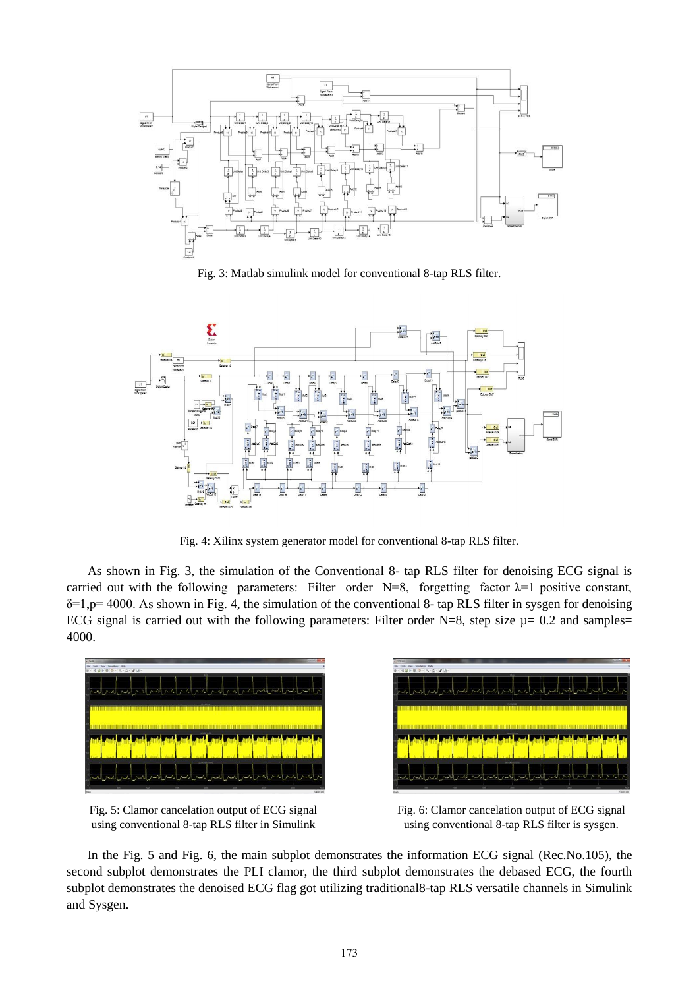

Fig. 3: Matlab simulink model for conventional 8-tap RLS filter.



Fig. 4: Xilinx system generator model for conventional 8-tap RLS filter.

As shown in Fig. 3, the simulation of the Conventional 8- tap RLS filter for denoising ECG signal is carried out with the following parameters: Filter order N=8, forgetting factor  $\lambda=1$  positive constant, δ=1,p= 4000. As shown in Fig. 4, the simulation of the conventional 8- tap RLS filter in sysgen for denoising ECG signal is carried out with the following parameters: Filter order N=8, step size  $\mu$ = 0.2 and samples= 4000.







Fig. 6: Clamor cancelation output of ECG signal using conventional 8-tap RLS filter is sysgen.

In the Fig. 5 and Fig. 6, the main subplot demonstrates the information ECG signal (Rec.No.105), the second subplot demonstrates the PLI clamor, the third subplot demonstrates the debased ECG, the fourth subplot demonstrates the denoised ECG flag got utilizing traditional8-tap RLS versatile channels in Simulink and Sysgen.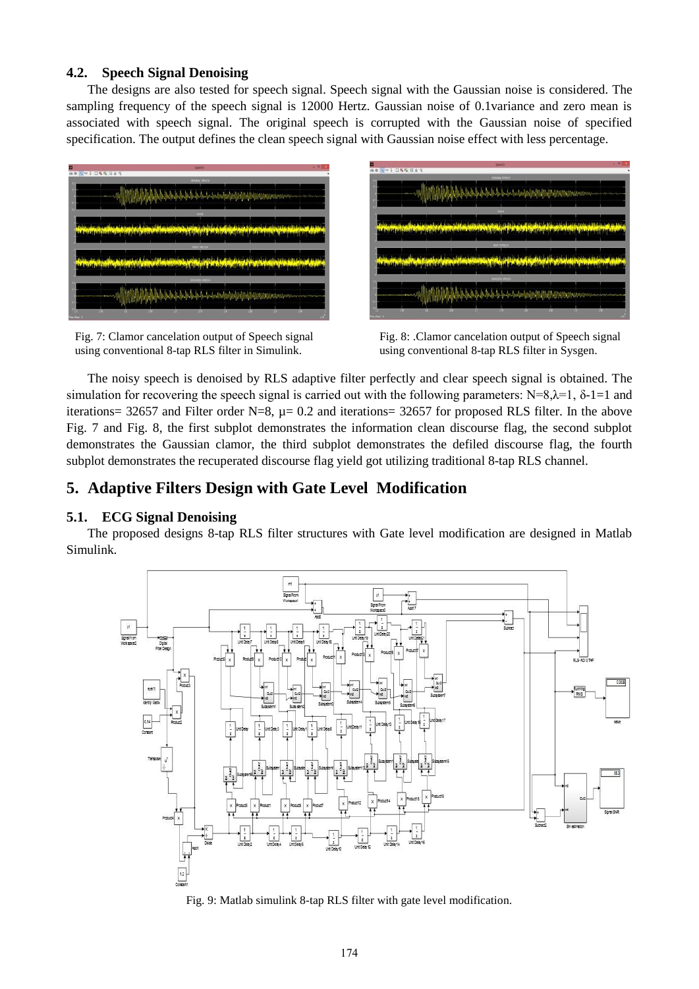### **4.2. Speech Signal Denoising**

The designs are also tested for speech signal. Speech signal with the Gaussian noise is considered. The sampling frequency of the speech signal is 12000 Hertz. Gaussian noise of 0.1variance and zero mean is associated with speech signal. The original speech is corrupted with the Gaussian noise of specified specification. The output defines the clean speech signal with Gaussian noise effect with less percentage.



Fig. 7: Clamor cancelation output of Speech signal using conventional 8-tap RLS filter in Simulink.



Fig. 8: .Clamor cancelation output of Speech signal using conventional 8-tap RLS filter in Sysgen.

The noisy speech is denoised by RLS adaptive filter perfectly and clear speech signal is obtained. The simulation for recovering the speech signal is carried out with the following parameters: N=8, $\lambda$ =1,  $\delta$ -1=1 and iterations= 32657 and Filter order N=8,  $\mu$ = 0.2 and iterations= 32657 for proposed RLS filter. In the above Fig. 7 and Fig. 8, the first subplot demonstrates the information clean discourse flag, the second subplot demonstrates the Gaussian clamor, the third subplot demonstrates the defiled discourse flag, the fourth subplot demonstrates the recuperated discourse flag yield got utilizing traditional 8-tap RLS channel.

# **5. Adaptive Filters Design with Gate Level Modification**

# **5.1. ECG Signal Denoising**

The proposed designs 8-tap RLS filter structures with Gate level modification are designed in Matlab Simulink.



Fig. 9: Matlab simulink 8-tap RLS filter with gate level modification.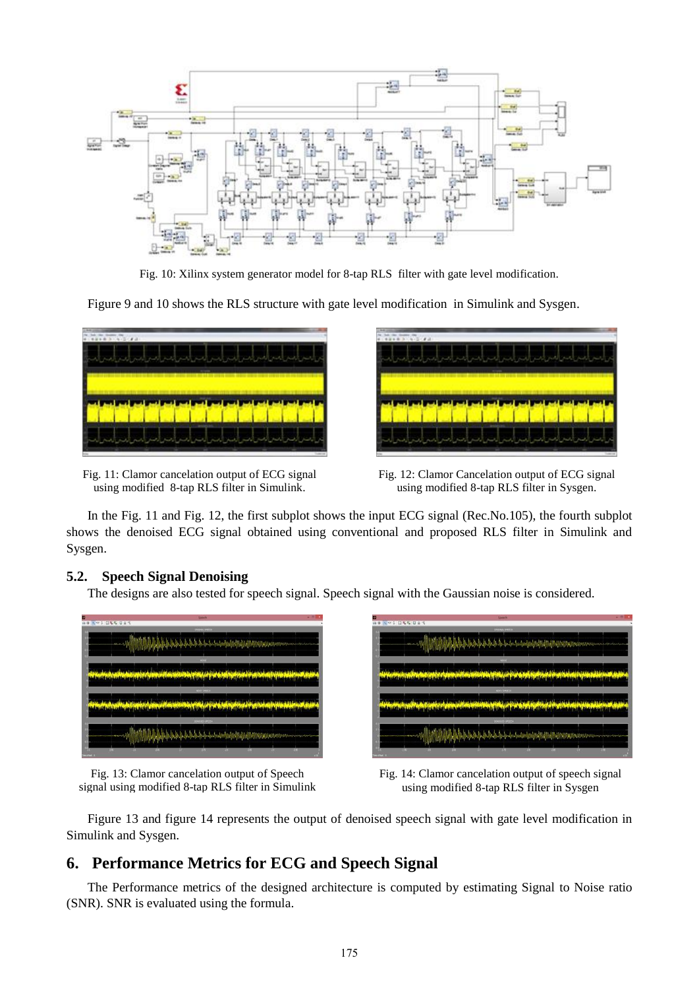

Fig. 10: Xilinx system generator model for 8-tap RLS filter with gate level modification.

Figure 9 and 10 shows the RLS structure with gate level modification in Simulink and Sysgen.



Fig. 11: Clamor cancelation output of ECG signal using modified 8-tap RLS filter in Simulink.

| <b>Barbara</b> and the local<br>œ |  |
|-----------------------------------|--|
|                                   |  |
|                                   |  |
|                                   |  |
|                                   |  |
|                                   |  |
|                                   |  |

Fig. 12: Clamor Cancelation output of ECG signal using modified 8-tap RLS filter in Sysgen.

In the Fig. 11 and Fig. 12, the first subplot shows the input ECG signal (Rec.No.105), the fourth subplot shows the denoised ECG signal obtained using conventional and proposed RLS filter in Simulink and Sysgen.

#### **5.2. Speech Signal Denoising**

The designs are also tested for speech signal. Speech signal with the Gaussian noise is considered.



Fig. 13: Clamor cancelation output of Speech signal using modified 8-tap RLS filter in Simulink

| Ξ                                 |                 |   | <b>Speech</b>         |                                                |                                   | $-10$ |
|-----------------------------------|-----------------|---|-----------------------|------------------------------------------------|-----------------------------------|-------|
| <b>No.1 088 084</b><br>$\ddot{m}$ |                 |   |                       |                                                |                                   | ٠     |
|                                   |                 |   | <b>SPISHAL SPEEDS</b> |                                                |                                   |       |
|                                   | <b>ALCOHOL:</b> |   |                       |                                                |                                   |       |
|                                   |                 |   |                       |                                                | <b>THE THE THEFT IS NOT THE T</b> |       |
|                                   |                 |   |                       |                                                |                                   |       |
|                                   |                 |   | <b>HORA</b>           |                                                |                                   |       |
|                                   |                 |   |                       |                                                |                                   |       |
| <b>SACRAGE MARINER</b>            |                 |   |                       |                                                |                                   |       |
|                                   |                 |   |                       |                                                |                                   |       |
|                                   |                 |   | NORV SPEEDA           |                                                |                                   |       |
|                                   |                 |   |                       |                                                |                                   |       |
| <b>WAN 450</b>                    |                 |   |                       |                                                |                                   |       |
|                                   |                 |   |                       |                                                |                                   |       |
|                                   |                 |   | <b>TENNICI IPECOA</b> |                                                |                                   |       |
|                                   |                 |   |                       |                                                |                                   |       |
|                                   |                 |   |                       | <b>The and put put put in a start of the a</b> |                                   |       |
|                                   |                 |   |                       |                                                |                                   |       |
|                                   |                 | m |                       |                                                |                                   |       |

Fig. 14: Clamor cancelation output of speech signal using modified 8-tap RLS filter in Sysgen

Figure 13 and figure 14 represents the output of denoised speech signal with gate level modification in Simulink and Sysgen.

# **6. Performance Metrics for ECG and Speech Signal**

The Performance metrics of the designed architecture is computed by estimating Signal to Noise ratio (SNR). SNR is evaluated using the formula.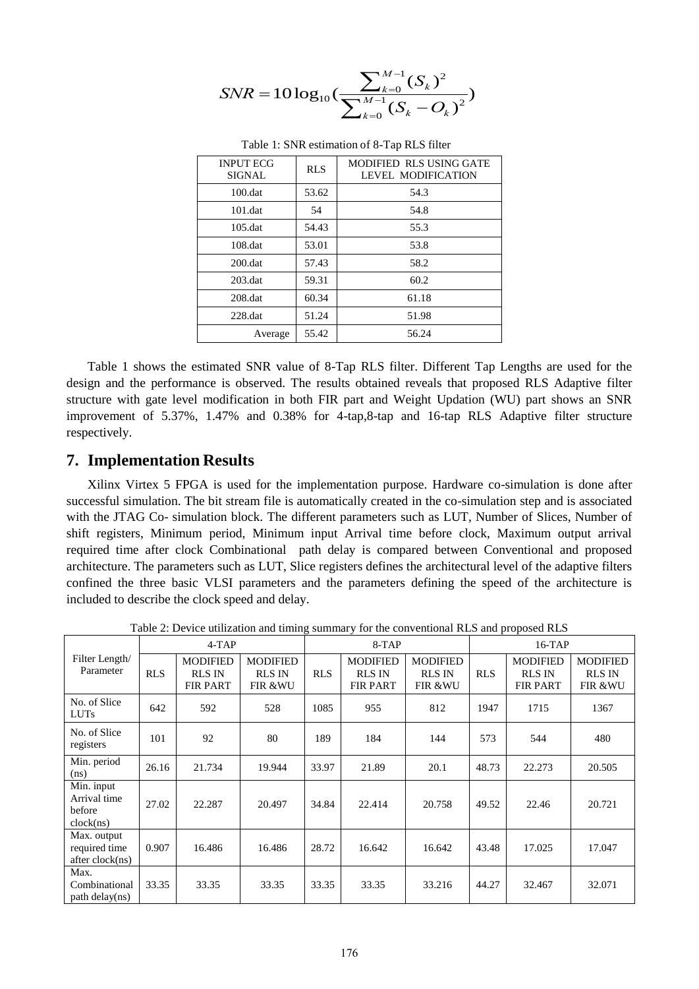$$
SNR = 10 \log_{10}(\frac{\sum_{k=0}^{M-1} (S_k)^2}{\sum_{k=0}^{M-1} (S_k - O_k)^2})
$$

| <b>INPUT ECG</b><br><b>SIGNAL</b> | <b>RLS</b> | MODIFIED RLS USING GATE<br><b>LEVEL MODIFICATION</b> |
|-----------------------------------|------------|------------------------------------------------------|
| $100 \ldots$                      | 53.62      | 54.3                                                 |
| $101$ .dat                        | 54         | 54.8                                                 |
| $105$ .dat                        | 54.43      | 55.3                                                 |
| $108$ .dat                        | 53.01      | 53.8                                                 |
| $200$ .dat                        | 57.43      | 58.2                                                 |
| $203$ .dat                        | 59.31      | 60.2                                                 |
| $208$ .dat                        | 60.34      | 61.18                                                |
| $228$ .dat                        | 51.24      | 51.98                                                |
| Average                           | 55.42      | 56.24                                                |

Table 1: SNR estimation of 8-Tap RLS filter

Table 1 shows the estimated SNR value of 8-Tap RLS filter. Different Tap Lengths are used for the design and the performance is observed. The results obtained reveals that proposed RLS Adaptive filter structure with gate level modification in both FIR part and Weight Updation (WU) part shows an SNR improvement of 5.37%, 1.47% and 0.38% for 4-tap,8-tap and 16-tap RLS Adaptive filter structure respectively.

# **7. Implementation Results**

Xilinx Virtex 5 FPGA is used for the implementation purpose. Hardware co-simulation is done after successful simulation. The bit stream file is automatically created in the co-simulation step and is associated with the JTAG Co- simulation block. The different parameters such as LUT, Number of Slices, Number of shift registers, Minimum period, Minimum input Arrival time before clock, Maximum output arrival required time after clock Combinational path delay is compared between Conventional and proposed architecture. The parameters such as LUT, Slice registers defines the architectural level of the adaptive filters confined the three basic VLSI parameters and the parameters defining the speed of the architecture is included to describe the clock speed and delay.

|                                                   | $4-TAP$    |                                                     |                                             | $8-TAP$    |                                                     |                                             | $16-TAP$   |                                                     |                                                        |
|---------------------------------------------------|------------|-----------------------------------------------------|---------------------------------------------|------------|-----------------------------------------------------|---------------------------------------------|------------|-----------------------------------------------------|--------------------------------------------------------|
| Filter Length/<br>Parameter                       | <b>RLS</b> | <b>MODIFIED</b><br><b>RLS IN</b><br><b>FIR PART</b> | <b>MODIFIED</b><br><b>RLS IN</b><br>FIR &WU | <b>RLS</b> | <b>MODIFIED</b><br><b>RLS IN</b><br><b>FIR PART</b> | <b>MODIFIED</b><br><b>RLS IN</b><br>FIR &WU | <b>RLS</b> | <b>MODIFIED</b><br><b>RLS IN</b><br><b>FIR PART</b> | <b>MODIFIED</b><br><b>RLS IN</b><br><b>FIR &amp;WU</b> |
| No. of Slice<br><b>LUTs</b>                       | 642        | 592                                                 | 528                                         | 1085       | 955                                                 | 812                                         | 1947       | 1715                                                | 1367                                                   |
| No. of Slice<br>registers                         | 101        | 92                                                  | 80                                          | 189        | 184                                                 | 144                                         | 573        | 544                                                 | 480                                                    |
| Min. period<br>(ns)                               | 26.16      | 21.734                                              | 19.944                                      | 33.97      | 21.89                                               | 20.1                                        | 48.73      | 22.273                                              | 20.505                                                 |
| Min. input<br>Arrival time<br>before<br>clock(ns) | 27.02      | 22.287                                              | 20.497                                      | 34.84      | 22.414                                              | 20.758                                      | 49.52      | 22.46                                               | 20.721                                                 |
| Max. output<br>required time<br>after clock(ns)   | 0.907      | 16.486                                              | 16.486                                      | 28.72      | 16.642                                              | 16.642                                      | 43.48      | 17.025                                              | 17.047                                                 |
| Max.<br>Combinational<br>path delay(ns)           | 33.35      | 33.35                                               | 33.35                                       | 33.35      | 33.35                                               | 33.216                                      | 44.27      | 32.467                                              | 32.071                                                 |

Table 2: Device utilization and timing summary for the conventional RLS and proposed RLS